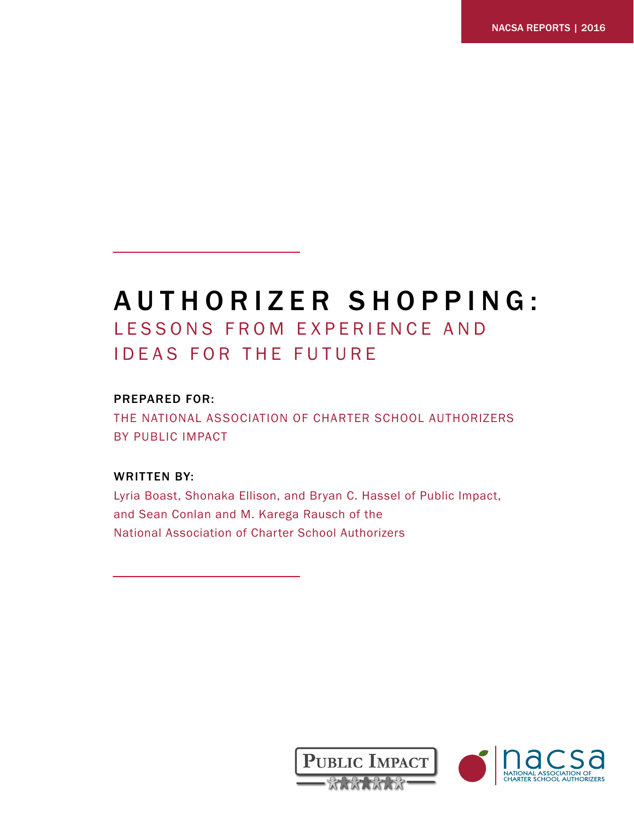# AUTHORIZER SHOPPING: LESSONS FROM EXPERIENCE AND IDEAS FOR THE FUTURE

# PREPARED FOR:

THE NATIONAL ASSOCIATION OF CHARTER SCHOOL AUTHORIZERS BY PUBLIC IMPACT

# WRITTEN BY:

Lyria Boast, Shonaka Ellison, and Bryan C. Hassel of Public Impact, and Sean Conlan and M. Karega Rausch of the National Association of Charter School Authorizers



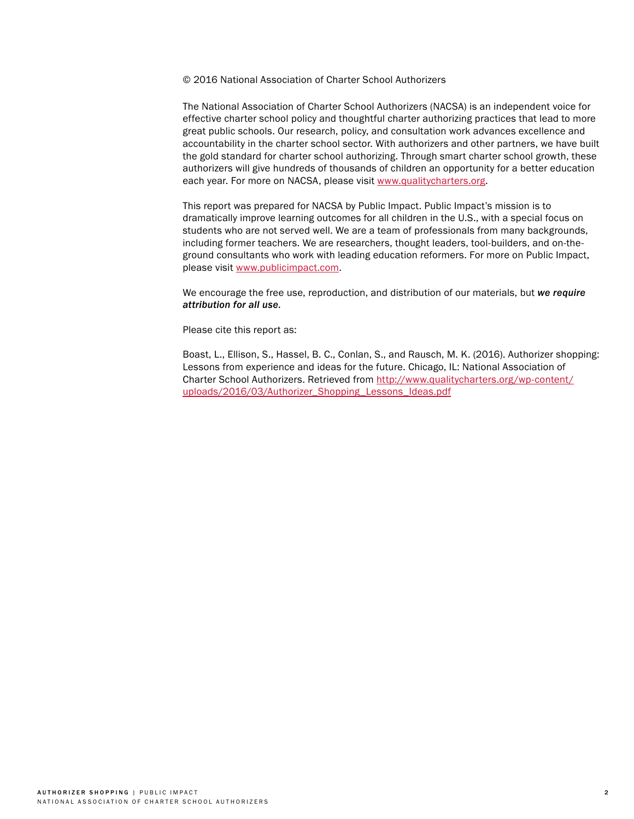#### © 2016 National Association of Charter School Authorizers

The National Association of Charter School Authorizers (NACSA) is an independent voice for effective charter school policy and thoughtful charter authorizing practices that lead to more great public schools. Our research, policy, and consultation work advances excellence and accountability in the charter school sector. With authorizers and other partners, we have built the gold standard for charter school authorizing. Through smart charter school growth, these authorizers will give hundreds of thousands of children an opportunity for a better education each year. For more on NACSA, please visit [www.qualitycharters.org.](http://www.qualitycharters.org)

This report was prepared for NACSA by Public Impact. Public Impact's mission is to dramatically improve learning outcomes for all children in the U.S., with a special focus on students who are not served well. We are a team of professionals from many backgrounds, including former teachers. We are researchers, thought leaders, tool-builders, and on-theground consultants who work with leading education reformers. For more on Public Impact, please visit [www.publicimpact.com.](http://www.publicimpact.com)

We encourage the free use, reproduction, and distribution of our materials, but *we require attribution for all use.*

Please cite this report as:

Boast, L., Ellison, S., Hassel, B. C., Conlan, S., and Rausch, M. K. (2016). Authorizer shopping: Lessons from experience and ideas for the future. Chicago, IL: National Association of Charter School Authorizers. Retrieved from [http://www.qualitycharters.org/wp-content/](http://www.qualitycharters.org/wp-content/uploads/2016/03/Authorizer_Shopping_Lessons_Ideas.pdf) [uploads/2016/03/Authorizer\\_Shopping\\_Lessons\\_Ideas.pdf](http://www.qualitycharters.org/wp-content/uploads/2016/03/Authorizer_Shopping_Lessons_Ideas.pdf)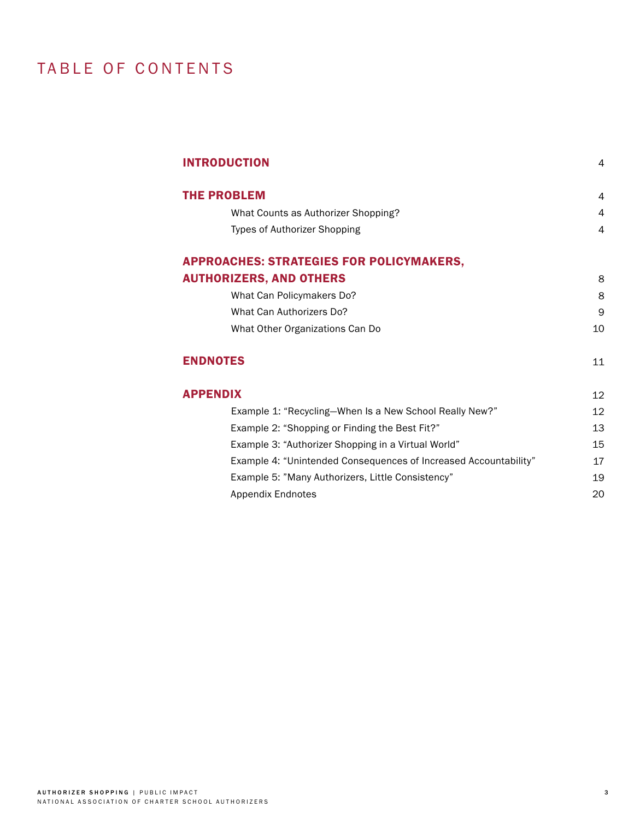# TABLE OF CONTENTS

| <b>INTRODUCTION</b>                                              | 4  |
|------------------------------------------------------------------|----|
| <b>THE PROBLEM</b>                                               | 4  |
| What Counts as Authorizer Shopping?                              | 4  |
| Types of Authorizer Shopping                                     | 4  |
| <b>APPROACHES: STRATEGIES FOR POLICYMAKERS,</b>                  |    |
| <b>AUTHORIZERS, AND OTHERS</b>                                   | 8  |
| What Can Policymakers Do?                                        | 8  |
| What Can Authorizers Do?                                         | 9  |
| What Other Organizations Can Do                                  | 10 |
| <b>ENDNOTES</b>                                                  | 11 |
| <b>APPENDIX</b>                                                  | 12 |
| Example 1: "Recycling-When Is a New School Really New?"          | 12 |
| Example 2: "Shopping or Finding the Best Fit?"                   | 13 |
| Example 3: "Authorizer Shopping in a Virtual World"              | 15 |
| Example 4: "Unintended Consequences of Increased Accountability" | 17 |
| Example 5: "Many Authorizers, Little Consistency"                | 19 |
| <b>Appendix Endnotes</b>                                         | 20 |
|                                                                  |    |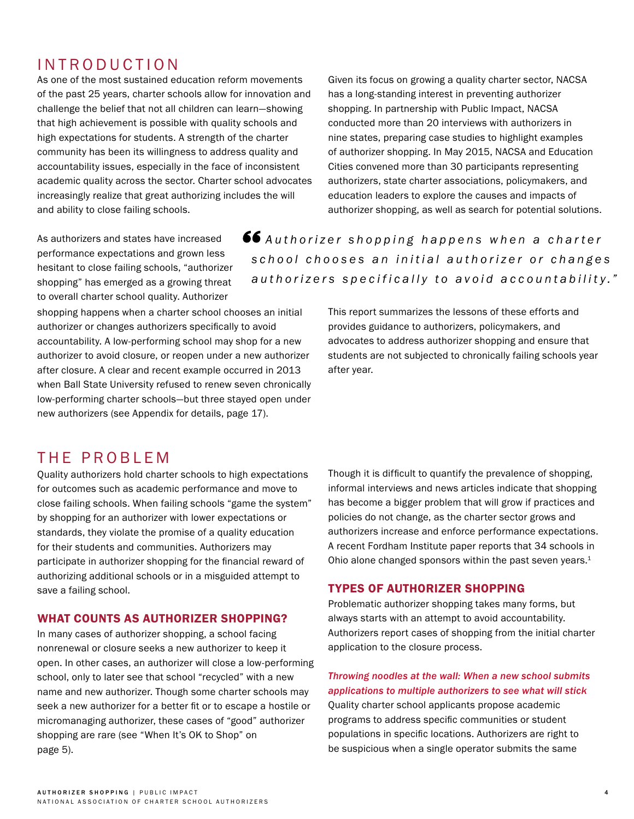# INTRODUCTION

As one of the most sustained education reform movements of the past 25 years, charter schools allow for innovation and challenge the belief that not all children can learn—showing that high achievement is possible with quality schools and high expectations for students. A strength of the charter community has been its willingness to address quality and accountability issues, especially in the face of inconsistent academic quality across the sector. Charter school advocates increasingly realize that great authorizing includes the will and ability to close failing schools.

Given its focus on growing a quality charter sector, NACSA has a long-standing interest in preventing authorizer shopping. In partnership with Public Impact, NACSA conducted more than 20 interviews with authorizers in nine states, preparing case studies to highlight examples of authorizer shopping. In May 2015, NACSA and Education Cities convened more than 30 participants representing authorizers, state charter associations, policymakers, and education leaders to explore the causes and impacts of authorizer shopping, as well as search for potential solutions.

As authorizers and states have increased performance expectations and grown less hesitant to close failing schools, "authorizer shopping" has emerged as a growing threat to overall charter school quality. Authorizer

shopping happens when a charter school chooses an initial authorizer or changes authorizers specifically to avoid accountability. A low-performing school may shop for a new authorizer to avoid closure, or reopen under a new authorizer after closure. A clear and recent example occurred in 2013 when Ball State University refused to renew seven chronically low-performing charter schools—but three stayed open under new authorizers (see Appendix for details, page 17).

# $66$  Authorizer shopping happens when a charter *s c h o o l c h o o s e s a n i n i t i a l a u t h o r i z e r o r c h a n g e s authorizers specifically to avoid accountability."*

This report summarizes the lessons of these efforts and provides guidance to authorizers, policymakers, and advocates to address authorizer shopping and ensure that students are not subjected to chronically failing schools year after year.

# THE PROBLEM

Quality authorizers hold charter schools to high expectations for outcomes such as academic performance and move to close failing schools. When failing schools "game the system" by shopping for an authorizer with lower expectations or standards, they violate the promise of a quality education for their students and communities. Authorizers may participate in authorizer shopping for the financial reward of authorizing additional schools or in a misguided attempt to save a failing school.

### WHAT COUNTS AS AUTHORIZER SHOPPING?

In many cases of authorizer shopping, a school facing nonrenewal or closure seeks a new authorizer to keep it open. In other cases, an authorizer will close a low-performing school, only to later see that school "recycled" with a new name and new authorizer. Though some charter schools may seek a new authorizer for a better fit or to escape a hostile or micromanaging authorizer, these cases of "good" authorizer shopping are rare (see "When It's OK to Shop" on page 5).

Though it is difficult to quantify the prevalence of shopping, informal interviews and news articles indicate that shopping has become a bigger problem that will grow if practices and policies do not change, as the charter sector grows and authorizers increase and enforce performance expectations. A recent Fordham Institute paper reports that 34 schools in Ohio alone changed sponsors within the past seven years.<sup>1</sup>

### TYPES OF AUTHORIZER SHOPPING

Problematic authorizer shopping takes many forms, but always starts with an attempt to avoid accountability. Authorizers report cases of shopping from the initial charter application to the closure process.

# *Throwing noodles at the wall: When a new school submits applications to multiple authorizers to see what will stick*

Quality charter school applicants propose academic programs to address specific communities or student populations in specific locations. Authorizers are right to be suspicious when a single operator submits the same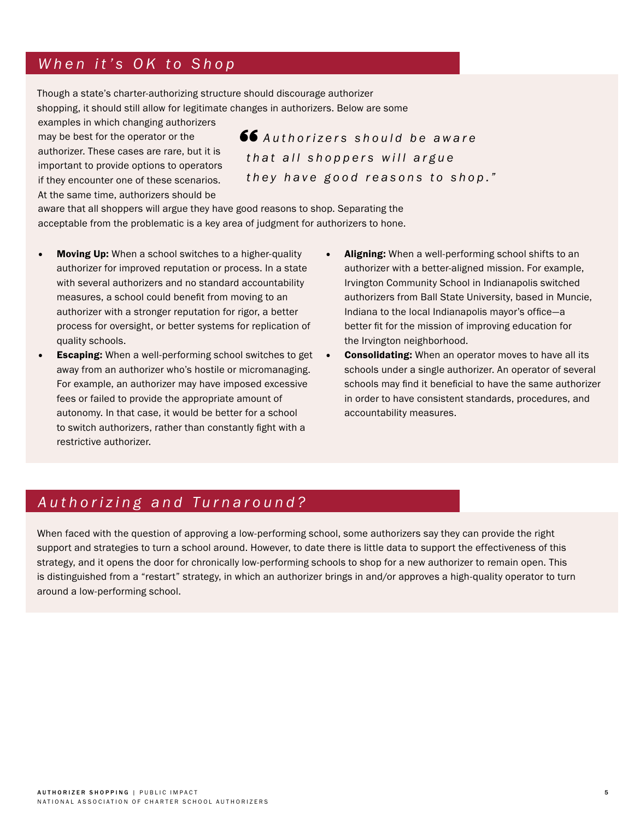# *When it's OK to Shop*

Though a state's charter-authorizing structure should discourage authorizer shopping, it should still allow for legitimate changes in authorizers. Below are some

examples in which changing authorizers may be best for the operator or the authorizer. These cases are rare, but it is important to provide options to operators if they encounter one of these scenarios. At the same time, authorizers should be

**66** Authorizers should be aware *t h a t a l l s h o p p e r s w i l l a r g u e they have good reasons to shop."*

aware that all shoppers will argue they have good reasons to shop. Separating the acceptable from the problematic is a key area of judgment for authorizers to hone.

- Moving Up: When a school switches to a higher-quality authorizer for improved reputation or process. In a state with several authorizers and no standard accountability measures, a school could benefit from moving to an authorizer with a stronger reputation for rigor, a better process for oversight, or better systems for replication of quality schools.
- Escaping: When a well-performing school switches to get away from an authorizer who's hostile or micromanaging. For example, an authorizer may have imposed excessive fees or failed to provide the appropriate amount of autonomy. In that case, it would be better for a school to switch authorizers, rather than constantly fight with a restrictive authorizer.
- Aligning: When a well-performing school shifts to an authorizer with a better-aligned mission. For example, Irvington Community School in Indianapolis switched authorizers from Ball State University, based in Muncie, Indiana to the local Indianapolis mayor's office—a better fit for the mission of improving education for the Irvington neighborhood.
- **Consolidating:** When an operator moves to have all its schools under a single authorizer. An operator of several schools may find it beneficial to have the same authorizer in order to have consistent standards, procedures, and accountability measures.

# *Authorizing and Turnaround?*

When faced with the question of approving a low-performing school, some authorizers say they can provide the right support and strategies to turn a school around. However, to date there is little data to support the effectiveness of this strategy, and it opens the door for chronically low-performing schools to shop for a new authorizer to remain open. This is distinguished from a "restart" strategy, in which an authorizer brings in and/or approves a high-quality operator to turn around a low-performing school.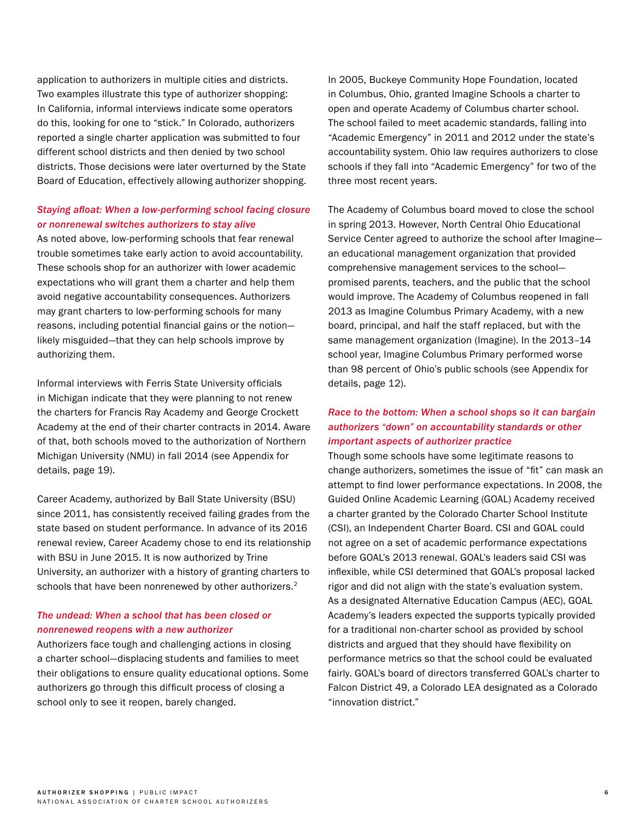application to authorizers in multiple cities and districts. Two examples illustrate this type of authorizer shopping: In California, informal interviews indicate some operators do this, looking for one to "stick." In Colorado, authorizers reported a single charter application was submitted to four different school districts and then denied by two school districts. Those decisions were later overturned by the State Board of Education, effectively allowing authorizer shopping.

# *Staying afloat: When a low-performing school facing closure or nonrenewal switches authorizers to stay alive*

As noted above, low-performing schools that fear renewal trouble sometimes take early action to avoid accountability. These schools shop for an authorizer with lower academic expectations who will grant them a charter and help them avoid negative accountability consequences. Authorizers may grant charters to low-performing schools for many reasons, including potential financial gains or the notion likely misguided—that they can help schools improve by authorizing them.

Informal interviews with Ferris State University officials in Michigan indicate that they were planning to not renew the charters for Francis Ray Academy and George Crockett Academy at the end of their charter contracts in 2014. Aware of that, both schools moved to the authorization of Northern Michigan University (NMU) in fall 2014 (see Appendix for details, page 19).

Career Academy, authorized by Ball State University (BSU) since 2011, has consistently received failing grades from the state based on student performance. In advance of its 2016 renewal review, Career Academy chose to end its relationship with BSU in June 2015. It is now authorized by Trine University, an authorizer with a history of granting charters to schools that have been nonrenewed by other authorizers.<sup>2</sup>

## *The undead: When a school that has been closed or nonrenewed reopens with a new authorizer*

Authorizers face tough and challenging actions in closing a charter school—displacing students and families to meet their obligations to ensure quality educational options. Some authorizers go through this difficult process of closing a school only to see it reopen, barely changed.

In 2005, Buckeye Community Hope Foundation, located in Columbus, Ohio, granted Imagine Schools a charter to open and operate Academy of Columbus charter school. The school failed to meet academic standards, falling into "Academic Emergency" in 2011 and 2012 under the state's accountability system. Ohio law requires authorizers to close schools if they fall into "Academic Emergency" for two of the three most recent years.

The Academy of Columbus board moved to close the school in spring 2013. However, North Central Ohio Educational Service Center agreed to authorize the school after Imagine an educational management organization that provided comprehensive management services to the school promised parents, teachers, and the public that the school would improve. The Academy of Columbus reopened in fall 2013 as Imagine Columbus Primary Academy, with a new board, principal, and half the staff replaced, but with the same management organization (Imagine). In the 2013–14 school year, Imagine Columbus Primary performed worse than 98 percent of Ohio's public schools (see Appendix for details, page 12).

# *Race to the bottom: When a school shops so it can bargain authorizers "down" on accountability standards or other important aspects of authorizer practice*

Though some schools have some legitimate reasons to change authorizers, sometimes the issue of "fit" can mask an attempt to find lower performance expectations. In 2008, the Guided Online Academic Learning (GOAL) Academy received a charter granted by the Colorado Charter School Institute (CSI), an Independent Charter Board. CSI and GOAL could not agree on a set of academic performance expectations before GOAL's 2013 renewal. GOAL's leaders said CSI was inflexible, while CSI determined that GOAL's proposal lacked rigor and did not align with the state's evaluation system. As a designated Alternative Education Campus (AEC), GOAL Academy's leaders expected the supports typically provided for a traditional non-charter school as provided by school districts and argued that they should have flexibility on performance metrics so that the school could be evaluated fairly. GOAL's board of directors transferred GOAL's charter to Falcon District 49, a Colorado LEA designated as a Colorado "innovation district."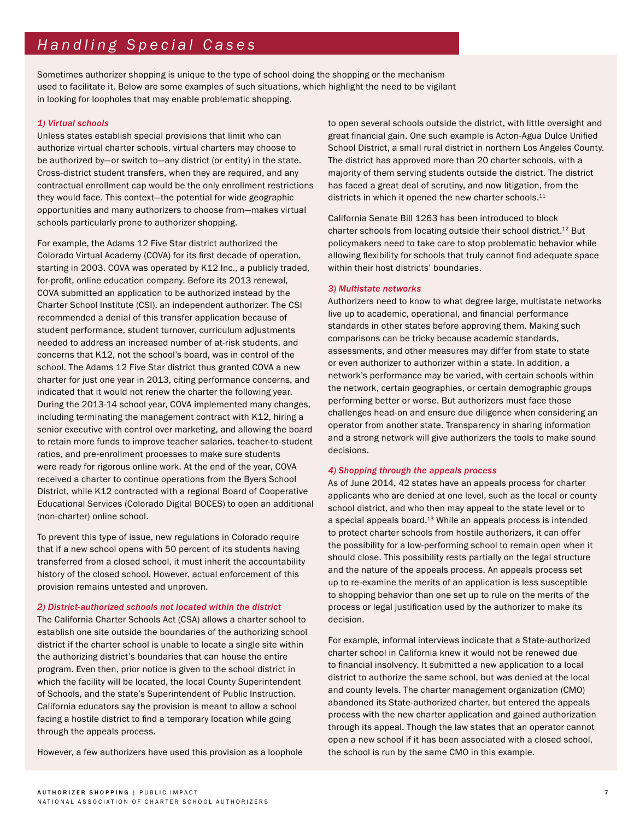Sometimes authorizer shopping is unique to the type of school doing the shopping or the mechanism used to facilitate it. Below are some examples of such situations, which highlight the need to be vigilant in looking for loopholes that may enable problematic shopping.

#### *1) Virtual schools*

Unless states establish special provisions that limit who can authorize virtual charter schools, virtual charters may choose to be authorized by—or switch to—any district (or entity) in the state. Cross-district student transfers, when they are required, and any contractual enrollment cap would be the only enrollment restrictions they would face. This context—the potential for wide geographic opportunities and many authorizers to choose from—makes virtual schools particularly prone to authorizer shopping.

For example, the Adams 12 Five Star district authorized the Colorado Virtual Academy (COVA) for its first decade of operation, starting in 2003. COVA was operated by K12 Inc., a publicly traded, for-profit, online education company. Before its 2013 renewal, COVA submitted an application to be authorized instead by the Charter School Institute (CSI), an independent authorizer. The CSI recommended a denial of this transfer application because of student performance, student turnover, curriculum adjustments needed to address an increased number of at-risk students, and concerns that K12, not the school's board, was in control of the school. The Adams 12 Five Star district thus granted COVA a new charter for just one year in 2013, citing performance concerns, and indicated that it would not renew the charter the following year. During the 2013-14 school year, COVA implemented many changes, including terminating the management contract with K12, hiring a senior executive with control over marketing, and allowing the board to retain more funds to improve teacher salaries, teacher-to-student ratios, and pre-enrollment processes to make sure students were ready for rigorous online work. At the end of the year, COVA received a charter to continue operations from the Byers School District, while K12 contracted with a regional Board of Cooperative Educational Services (Colorado Digital BOCES) to open an additional (non-charter) online school.

To prevent this type of issue, new regulations in Colorado require that if a new school opens with 50 percent of its students having transferred from a closed school, it must inherit the accountability history of the closed school. However, actual enforcement of this provision remains untested and unproven.

#### *2) District-authorized schools not located within the district*

The California Charter Schools Act (CSA) allows a charter school to establish one site outside the boundaries of the authorizing school district if the charter school is unable to locate a single site within the authorizing district's boundaries that can house the entire program. Even then, prior notice is given to the school district in which the facility will be located, the local County Superintendent of Schools, and the state's Superintendent of Public Instruction. California educators say the provision is meant to allow a school facing a hostile district to find a temporary location while going through the appeals process.

However, a few authorizers have used this provision as a loophole

to open several schools outside the district, with little oversight and great financial gain. One such example is Acton-Agua Dulce Unified School District, a small rural district in northern Los Angeles County. The district has approved more than 20 charter schools, with a majority of them serving students outside the district. The district has faced a great deal of scrutiny, and now litigation, from the districts in which it opened the new charter schools.<sup>11</sup>

California Senate Bill 1263 has been introduced to block charter schools from locating outside their school district.<sup>12</sup> But policymakers need to take care to stop problematic behavior while allowing flexibility for schools that truly cannot find adequate space within their host districts' boundaries.

#### *3) Multistate networks*

Authorizers need to know to what degree large, multistate networks live up to academic, operational, and financial performance standards in other states before approving them. Making such comparisons can be tricky because academic standards, assessments, and other measures may differ from state to state or even authorizer to authorizer within a state. In addition, a network's performance may be varied, with certain schools within the network, certain geographies, or certain demographic groups performing better or worse. But authorizers must face those challenges head-on and ensure due diligence when considering an operator from another state. Transparency in sharing information and a strong network will give authorizers the tools to make sound decisions.

#### *4) Shopping through the appeals process*

As of June 2014, 42 states have an appeals process for charter applicants who are denied at one level, such as the local or county school district, and who then may appeal to the state level or to a special appeals board.13 While an appeals process is intended to protect charter schools from hostile authorizers, it can offer the possibility for a low-performing school to remain open when it should close. This possibility rests partially on the legal structure and the nature of the appeals process. An appeals process set up to re-examine the merits of an application is less susceptible to shopping behavior than one set up to rule on the merits of the process or legal justification used by the authorizer to make its decision.

For example, informal interviews indicate that a State-authorized charter school in California knew it would not be renewed due to financial insolvency. It submitted a new application to a local district to authorize the same school, but was denied at the local and county levels. The charter management organization (CMO) abandoned its State-authorized charter, but entered the appeals process with the new charter application and gained authorization through its appeal. Though the law states that an operator cannot open a new school if it has been associated with a closed school, the school is run by the same CMO in this example.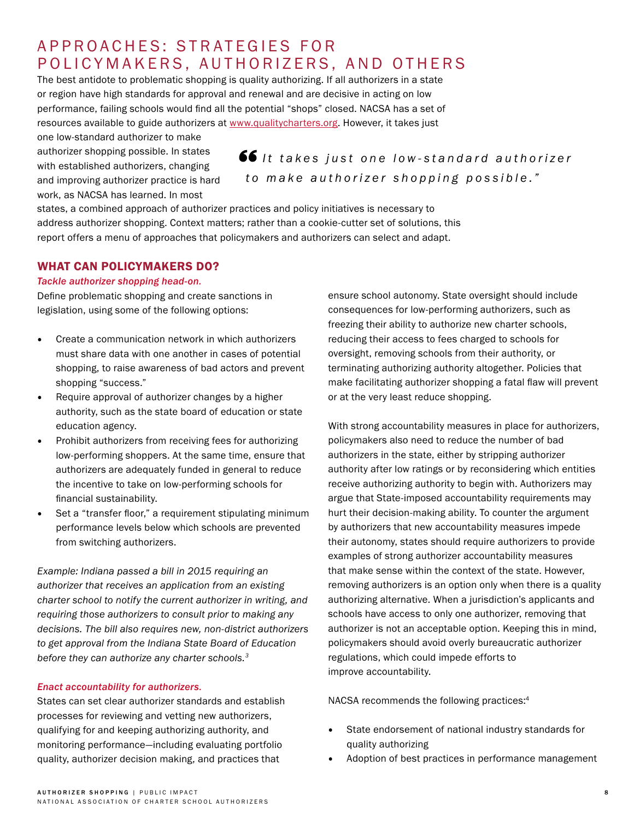# A P P R O A C H E S: S T R A T E G I E S F O R POLICYMAKERS, AUTHORIZERS, AND OTHERS

The best antidote to problematic shopping is quality authorizing. If all authorizers in a state or region have high standards for approval and renewal and are decisive in acting on low performance, failing schools would find all the potential "shops" closed. NACSA has a set of resources available to guide authorizers at [www.qualitycharters.org](http://www.qualitycharters.org). However, it takes just

one low-standard authorizer to make authorizer shopping possible. In states with established authorizers, changing and improving authorizer practice is hard work, as NACSA has learned. In most

**66** It takes just one low-standard authorizer *to make authorizer shopping possible."*

states, a combined approach of authorizer practices and policy initiatives is necessary to address authorizer shopping. Context matters; rather than a cookie-cutter set of solutions, this report offers a menu of approaches that policymakers and authorizers can select and adapt.

# WHAT CAN POLICYMAKERS DO?

#### *Tackle authorizer shopping head-on.*

Define problematic shopping and create sanctions in legislation, using some of the following options:

- Create a communication network in which authorizers must share data with one another in cases of potential shopping, to raise awareness of bad actors and prevent shopping "success."
- Require approval of authorizer changes by a higher authority, such as the state board of education or state education agency.
- Prohibit authorizers from receiving fees for authorizing low-performing shoppers. At the same time, ensure that authorizers are adequately funded in general to reduce the incentive to take on low-performing schools for financial sustainability.
- Set a "transfer floor," a requirement stipulating minimum performance levels below which schools are prevented from switching authorizers.

*Example: Indiana passed a bill in 2015 requiring an authorizer that receives an application from an existing charter school to notify the current authorizer in writing, and requiring those authorizers to consult prior to making any decisions. The bill also requires new, non-district authorizers to get approval from the Indiana State Board of Education before they can authorize any charter schools.3*

#### *Enact accountability for authorizers.*

States can set clear authorizer standards and establish processes for reviewing and vetting new authorizers, qualifying for and keeping authorizing authority, and monitoring performance—including evaluating portfolio quality, authorizer decision making, and practices that

ensure school autonomy. State oversight should include consequences for low-performing authorizers, such as freezing their ability to authorize new charter schools, reducing their access to fees charged to schools for oversight, removing schools from their authority, or terminating authorizing authority altogether. Policies that make facilitating authorizer shopping a fatal flaw will prevent or at the very least reduce shopping.

With strong accountability measures in place for authorizers, policymakers also need to reduce the number of bad authorizers in the state, either by stripping authorizer authority after low ratings or by reconsidering which entities receive authorizing authority to begin with. Authorizers may argue that State-imposed accountability requirements may hurt their decision-making ability. To counter the argument by authorizers that new accountability measures impede their autonomy, states should require authorizers to provide examples of strong authorizer accountability measures that make sense within the context of the state. However, removing authorizers is an option only when there is a quality authorizing alternative. When a jurisdiction's applicants and schools have access to only one authorizer, removing that authorizer is not an acceptable option. Keeping this in mind, policymakers should avoid overly bureaucratic authorizer regulations, which could impede efforts to improve accountability.

NACSA recommends the following practices:4

- State endorsement of national industry standards for quality authorizing
- Adoption of best practices in performance management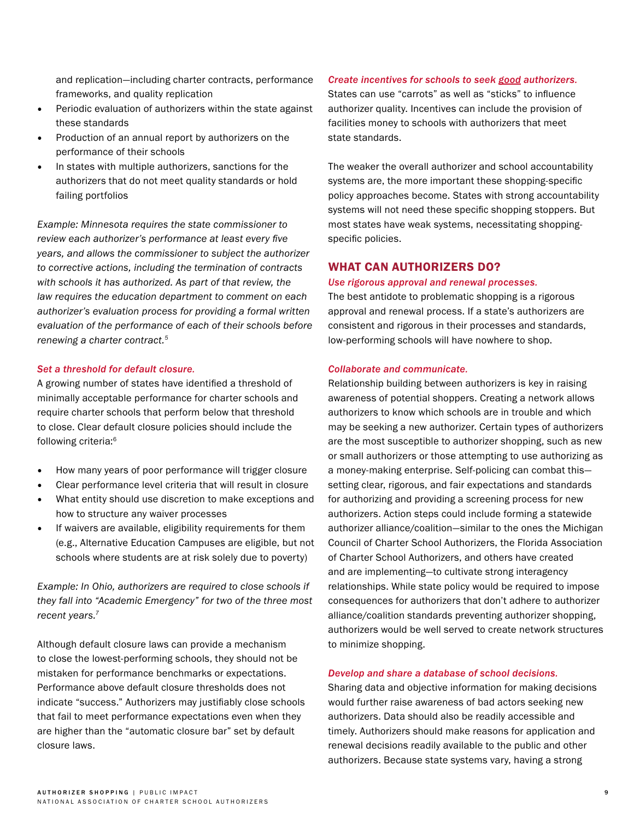and replication—including charter contracts, performance frameworks, and quality replication

- Periodic evaluation of authorizers within the state against these standards
- Production of an annual report by authorizers on the performance of their schools
- In states with multiple authorizers, sanctions for the authorizers that do not meet quality standards or hold failing portfolios

*Example: Minnesota requires the state commissioner to review each authorizer's performance at least every five years, and allows the commissioner to subject the authorizer to corrective actions, including the termination of contracts with schools it has authorized. As part of that review, the law requires the education department to comment on each authorizer's evaluation process for providing a formal written evaluation of the performance of each of their schools before renewing a charter contract.5* 

#### *Set a threshold for default closure.*

A growing number of states have identified a threshold of minimally acceptable performance for charter schools and require charter schools that perform below that threshold to close. Clear default closure policies should include the following criteria:6

- How many years of poor performance will trigger closure
- Clear performance level criteria that will result in closure
- What entity should use discretion to make exceptions and how to structure any waiver processes
- If waivers are available, eligibility requirements for them (e.g., Alternative Education Campuses are eligible, but not schools where students are at risk solely due to poverty)

*Example: In Ohio, authorizers are required to close schools if they fall into "Academic Emergency" for two of the three most recent years.7* 

Although default closure laws can provide a mechanism to close the lowest-performing schools, they should not be mistaken for performance benchmarks or expectations. Performance above default closure thresholds does not indicate "success." Authorizers may justifiably close schools that fail to meet performance expectations even when they are higher than the "automatic closure bar" set by default closure laws.

### *Create incentives for schools to seek good authorizers.*

States can use "carrots" as well as "sticks" to influence authorizer quality. Incentives can include the provision of facilities money to schools with authorizers that meet state standards.

The weaker the overall authorizer and school accountability systems are, the more important these shopping-specific policy approaches become. States with strong accountability systems will not need these specific shopping stoppers. But most states have weak systems, necessitating shoppingspecific policies.

# WHAT CAN AUTHORIZERS DO?

#### *Use rigorous approval and renewal processes.*

The best antidote to problematic shopping is a rigorous approval and renewal process. If a state's authorizers are consistent and rigorous in their processes and standards, low-performing schools will have nowhere to shop.

#### *Collaborate and communicate.*

Relationship building between authorizers is key in raising awareness of potential shoppers. Creating a network allows authorizers to know which schools are in trouble and which may be seeking a new authorizer. Certain types of authorizers are the most susceptible to authorizer shopping, such as new or small authorizers or those attempting to use authorizing as a money-making enterprise. Self-policing can combat this setting clear, rigorous, and fair expectations and standards for authorizing and providing a screening process for new authorizers. Action steps could include forming a statewide authorizer alliance/coalition—similar to the ones the Michigan Council of Charter School Authorizers, the Florida Association of Charter School Authorizers, and others have created and are implementing—to cultivate strong interagency relationships. While state policy would be required to impose consequences for authorizers that don't adhere to authorizer alliance/coalition standards preventing authorizer shopping, authorizers would be well served to create network structures to minimize shopping.

#### *Develop and share a database of school decisions.*

Sharing data and objective information for making decisions would further raise awareness of bad actors seeking new authorizers. Data should also be readily accessible and timely. Authorizers should make reasons for application and renewal decisions readily available to the public and other authorizers. Because state systems vary, having a strong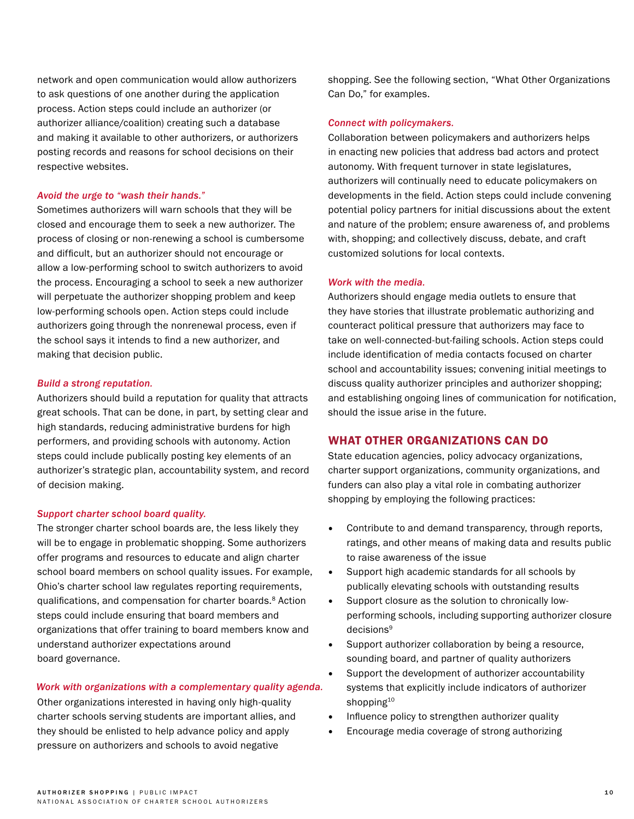network and open communication would allow authorizers to ask questions of one another during the application process. Action steps could include an authorizer (or authorizer alliance/coalition) creating such a database and making it available to other authorizers, or authorizers posting records and reasons for school decisions on their respective websites.

#### *Avoid the urge to "wash their hands."*

Sometimes authorizers will warn schools that they will be closed and encourage them to seek a new authorizer. The process of closing or non-renewing a school is cumbersome and difficult, but an authorizer should not encourage or allow a low-performing school to switch authorizers to avoid the process. Encouraging a school to seek a new authorizer will perpetuate the authorizer shopping problem and keep low-performing schools open. Action steps could include authorizers going through the nonrenewal process, even if the school says it intends to find a new authorizer, and making that decision public.

#### *Build a strong reputation.*

Authorizers should build a reputation for quality that attracts great schools. That can be done, in part, by setting clear and high standards, reducing administrative burdens for high performers, and providing schools with autonomy. Action steps could include publically posting key elements of an authorizer's strategic plan, accountability system, and record of decision making.

#### *Support charter school board quality.*

The stronger charter school boards are, the less likely they will be to engage in problematic shopping. Some authorizers offer programs and resources to educate and align charter school board members on school quality issues. For example, Ohio's charter school law regulates reporting requirements, qualifications, and compensation for charter boards.8 Action steps could include ensuring that board members and organizations that offer training to board members know and understand authorizer expectations around board governance.

#### *Work with organizations with a complementary quality agenda.*

Other organizations interested in having only high-quality charter schools serving students are important allies, and they should be enlisted to help advance policy and apply pressure on authorizers and schools to avoid negative

shopping. See the following section, "What Other Organizations Can Do," for examples.

#### *Connect with policymakers.*

Collaboration between policymakers and authorizers helps in enacting new policies that address bad actors and protect autonomy. With frequent turnover in state legislatures, authorizers will continually need to educate policymakers on developments in the field. Action steps could include convening potential policy partners for initial discussions about the extent and nature of the problem; ensure awareness of, and problems with, shopping; and collectively discuss, debate, and craft customized solutions for local contexts.

#### *Work with the media.*

Authorizers should engage media outlets to ensure that they have stories that illustrate problematic authorizing and counteract political pressure that authorizers may face to take on well-connected-but-failing schools. Action steps could include identification of media contacts focused on charter school and accountability issues; convening initial meetings to discuss quality authorizer principles and authorizer shopping; and establishing ongoing lines of communication for notification, should the issue arise in the future.

### WHAT OTHER ORGANIZATIONS CAN DO

State education agencies, policy advocacy organizations, charter support organizations, community organizations, and funders can also play a vital role in combating authorizer shopping by employing the following practices:

- Contribute to and demand transparency, through reports, ratings, and other means of making data and results public to raise awareness of the issue
- Support high academic standards for all schools by publically elevating schools with outstanding results
- Support closure as the solution to chronically lowperforming schools, including supporting authorizer closure decisions<sup>9</sup>
- Support authorizer collaboration by being a resource, sounding board, and partner of quality authorizers
- Support the development of authorizer accountability systems that explicitly include indicators of authorizer shopping<sup>10</sup>
- Influence policy to strengthen authorizer quality
- Encourage media coverage of strong authorizing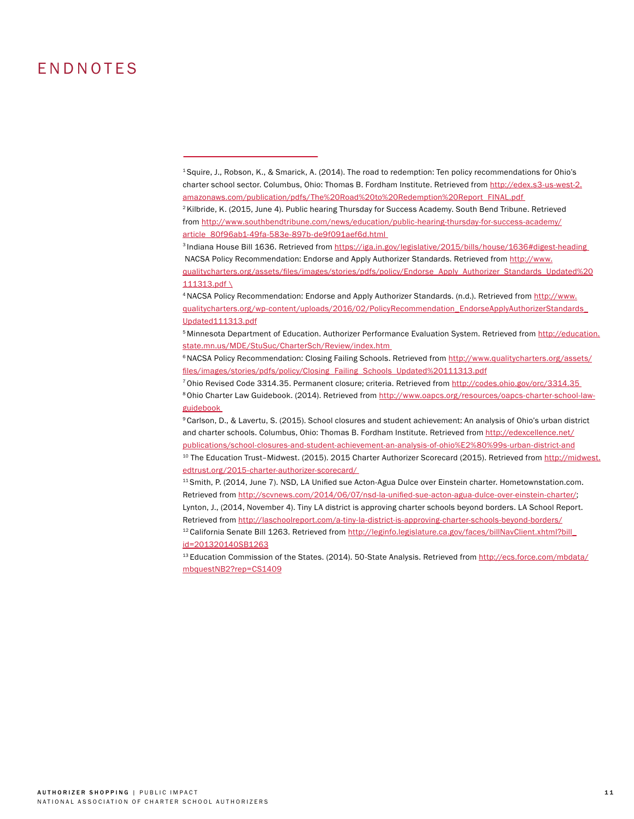# ENDNOTES

<sup>6</sup> NACSA Policy Recommendation: Closing Failing Schools. Retrieved from [http://www.qualitycharters.org/assets/](http://www.qualitycharters.org/assets/files/images/stories/pdfs/policy/Closing_Failing_Schools_Updat) [files/images/stories/pdfs/policy/Closing\\_Failing\\_Schools\\_Updated%20111313.pdf](http://www.qualitycharters.org/assets/files/images/stories/pdfs/policy/Closing_Failing_Schools_Updat)

7 Ohio Revised Code 3314.35. Permanent closure; criteria. Retrieved from [http://codes.ohio.gov/orc/3314.35](http://codes.ohio.gov/orc/3314.35 )  <sup>8</sup> Ohio Charter Law Guidebook. (2014). Retrieved from [http://www.oapcs.org/resources/oapcs-charter-school-law](http://www.oapcs.org/resources/oapcs-charter-school-law-guidebook )[guidebook](http://www.oapcs.org/resources/oapcs-charter-school-law-guidebook ) 

9 Carlson, D., & Lavertu, S. (2015). School closures and student achievement: An analysis of Ohio's urban district and charter schools. Columbus, Ohio: Thomas B. Fordham Institute. Retrieved from [http://edexcellence.net/](http://edexcellence.net/publications/school-closures-and-student-achievement-an-analysis-of-ohio%E2%) [publications/school-closures-and-student-achievement-an-analysis-of-ohio%E2%80%99s-urban-district-and](http://edexcellence.net/publications/school-closures-and-student-achievement-an-analysis-of-ohio%E2%)

<sup>10</sup> The Education Trust-Midwest. (2015). 2015 Charter Authorizer Scorecard (2015). Retrieved from [http://midwest.](http://midwest.edtrust.org/2015-charter-authorizer-scorecard/ ) [edtrust.org/2015-charter-authorizer-scorecard/](http://midwest.edtrust.org/2015-charter-authorizer-scorecard/ ) 

<sup>11</sup> Smith, P. (2014, June 7). NSD, LA Unified sue Acton-Agua Dulce over Einstein charter. Hometownstation.com. Retrieved from [http://scvnews.com/2014/06/07/nsd-la-unified-sue-acton-agua-dulce-over-einstein-charter/;](http://scvnews.com/2014/06/07/nsd-la-unified-sue-acton-agua-dulce-over-einstein-charter/) Lynton, J., (2014, November 4). Tiny LA district is approving charter schools beyond borders. LA School Report.

Retrieved from [http://laschoolreport.com/a-tiny-la-district-is-approving-charter-schools-beyond-borders/](http://laschoolreport.com/a-tiny-la-district-is-approving-charter-schools-beyond-borders/ )

<sup>12</sup> California Senate Bill 1263. Retrieved from [http://leginfo.legislature.ca.gov/faces/billNavClient.xhtml?bill\\_](http://leginfo.legislature.ca.gov/faces/billNavClient.xhtml?bill_id=201320140SB1263) [id=201320140SB1263](http://leginfo.legislature.ca.gov/faces/billNavClient.xhtml?bill_id=201320140SB1263)

<sup>13</sup> Education Commission of the States. (2014). 50-State Analysis. Retrieved from [http://ecs.force.com/mbdata/](http://ecs.force.com/mbdata/mbquestNB2?rep=CS1409 ) [mbquestNB2?rep=CS1409](http://ecs.force.com/mbdata/mbquestNB2?rep=CS1409 )

<sup>1</sup> Squire, J., Robson, K., & Smarick, A. (2014). The road to redemption: Ten policy recommendations for Ohio's charter school sector. Columbus, Ohio: Thomas B. Fordham Institute. Retrieved from [http://edex.s3-us-west-2.](http://edex.s3-us-west-2.amazonaws.com/publication/pdfs/The%20Road%20to%20Redemption%20Report_FINAL.) [amazonaws.com/publication/pdfs/The%20Road%20to%20Redemption%20Report\\_FINAL.pdf](http://edex.s3-us-west-2.amazonaws.com/publication/pdfs/The%20Road%20to%20Redemption%20Report_FINAL.) 

<sup>&</sup>lt;sup>2</sup> Kilbride, K. (2015, June 4). Public hearing Thursday for Success Academy. South Bend Tribune. Retrieved from [http://www.southbendtribune.com/news/education/public-hearing-thursday-for-success-academy/](http://www.southbendtribune.com/news/education/public-hearing-thursday-for-success-academy/article_8) [article\\_80f96ab1-49fa-583e-897b-de9f091aef6d.html](http://www.southbendtribune.com/news/education/public-hearing-thursday-for-success-academy/article_8) 

<sup>&</sup>lt;sup>3</sup> Indiana House Bill 1636. Retrieved from https://iga.in.gov/legislative/2015/bills/house/1636#digest-heading NACSA Policy Recommendation: Endorse and Apply Authorizer Standards. Retrieved from [http://www.](http://www.qualitycharters.org/assets/files/images/stories/pdfs/policy/Endorse_Apply_Authorizer_Stan) [qualitycharters.org/assets/files/images/stories/pdfs/policy/Endorse\\_Apply\\_Authorizer\\_Standards\\_Updated%20](http://www.qualitycharters.org/assets/files/images/stories/pdfs/policy/Endorse_Apply_Authorizer_Stan)

[<sup>111313.</sup>pdf \](http://www.qualitycharters.org/assets/files/images/stories/pdfs/policy/Endorse_Apply_Authorizer_Stan) 4 NACSA Policy Recommendation: Endorse and Apply Authorizer Standards. (n.d.). Retrieved from [http://www.](http://www.qualitycharters.org/wp-content/uploads/2016/02/PolicyRecommendation_EndorseApplyAuthorize)

[qualitycharters.org/wp-content/uploads/2016/02/PolicyRecommendation\\_EndorseApplyAuthorizerStandards\\_](http://www.qualitycharters.org/wp-content/uploads/2016/02/PolicyRecommendation_EndorseApplyAuthorize) [Updated111313.pdf](http://www.qualitycharters.org/wp-content/uploads/2016/02/PolicyRecommendation_EndorseApplyAuthorize)

<sup>5</sup> Minnesota Department of Education. Authorizer Performance Evaluation System. Retrieved from [http://education.](http://education.state.mn.us/MDE/StuSuc/CharterSch/Review/index.htm ) [state.mn.us/MDE/StuSuc/CharterSch/Review/index.htm](http://education.state.mn.us/MDE/StuSuc/CharterSch/Review/index.htm )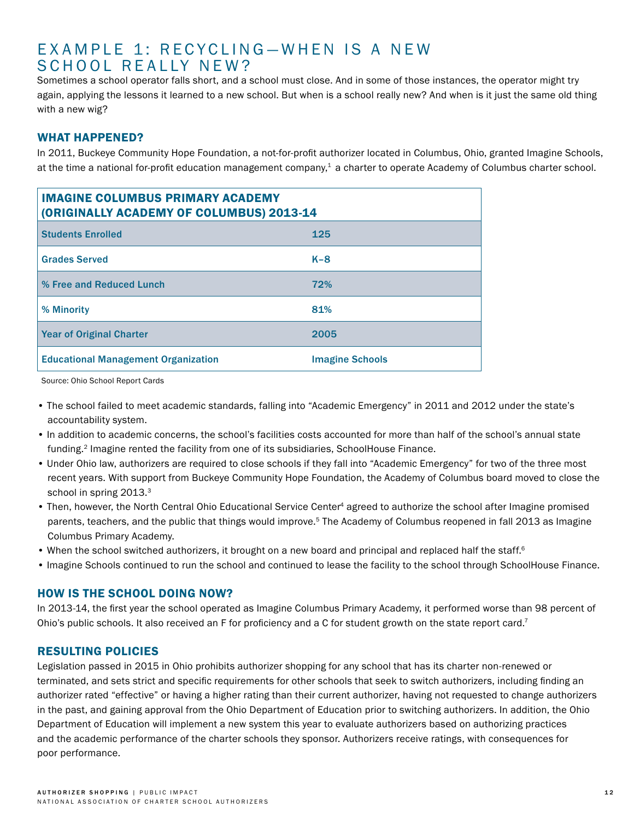# EXAMPLE 1: RECYCLING-WHEN IS A NEW SCHOOL REALLY NEW?

Sometimes a school operator falls short, and a school must close. And in some of those instances, the operator might try again, applying the lessons it learned to a new school. But when is a school really new? And when is it just the same old thing with a new wig?

# WHAT HAPPENED?

In 2011, Buckeye Community Hope Foundation, a not-for-profit authorizer located in Columbus, Ohio, granted Imagine Schools, at the time a national for-profit education management company, $1$  a charter to operate Academy of Columbus charter school.

| <b>IMAGINE COLUMBUS PRIMARY ACADEMY</b><br>(ORIGINALLY ACADEMY OF COLUMBUS) 2013-14 |                        |  |  |  |  |
|-------------------------------------------------------------------------------------|------------------------|--|--|--|--|
| <b>Students Enrolled</b>                                                            | 125                    |  |  |  |  |
| <b>Grades Served</b>                                                                | $K-8$                  |  |  |  |  |
| % Free and Reduced Lunch                                                            | 72%                    |  |  |  |  |
| % Minority                                                                          | 81%                    |  |  |  |  |
| <b>Year of Original Charter</b>                                                     | 2005                   |  |  |  |  |
| <b>Educational Management Organization</b>                                          | <b>Imagine Schools</b> |  |  |  |  |

Source: Ohio School Report Cards

- The school failed to meet academic standards, falling into "Academic Emergency" in 2011 and 2012 under the state's accountability system.
- In addition to academic concerns, the school's facilities costs accounted for more than half of the school's annual state funding.2 Imagine rented the facility from one of its subsidiaries, SchoolHouse Finance.
- Under Ohio law, authorizers are required to close schools if they fall into "Academic Emergency" for two of the three most recent years. With support from Buckeye Community Hope Foundation, the Academy of Columbus board moved to close the school in spring 2013.<sup>3</sup>
- Then, however, the North Central Ohio Educational Service Center<sup>4</sup> agreed to authorize the school after Imagine promised parents, teachers, and the public that things would improve.<sup>5</sup> The Academy of Columbus reopened in fall 2013 as Imagine Columbus Primary Academy.
- When the school switched authorizers, it brought on a new board and principal and replaced half the staff.<sup>6</sup>
- Imagine Schools continued to run the school and continued to lease the facility to the school through SchoolHouse Finance.

# HOW IS THE SCHOOL DOING NOW?

In 2013-14, the first year the school operated as Imagine Columbus Primary Academy, it performed worse than 98 percent of Ohio's public schools. It also received an F for proficiency and a C for student growth on the state report card.<sup>7</sup>

### RESULTING POLICIES

Legislation passed in 2015 in Ohio prohibits authorizer shopping for any school that has its charter non-renewed or terminated, and sets strict and specific requirements for other schools that seek to switch authorizers, including finding an authorizer rated "effective" or having a higher rating than their current authorizer, having not requested to change authorizers in the past, and gaining approval from the Ohio Department of Education prior to switching authorizers. In addition, the Ohio Department of Education will implement a new system this year to evaluate authorizers based on authorizing practices and the academic performance of the charter schools they sponsor. Authorizers receive ratings, with consequences for poor performance.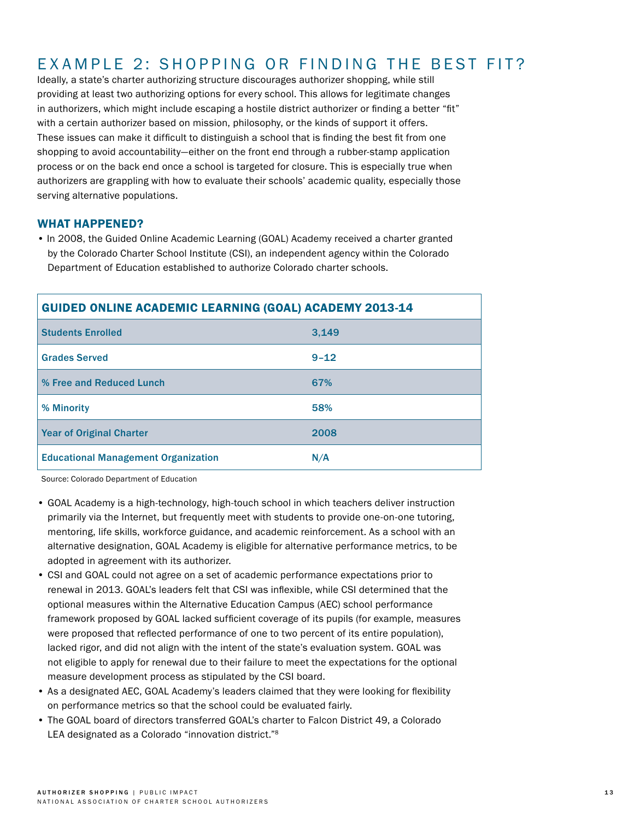# EXAMPLE 2: SHOPPING OR FINDING THE BEST FIT?

Ideally, a state's charter authorizing structure discourages authorizer shopping, while still providing at least two authorizing options for every school. This allows for legitimate changes in authorizers, which might include escaping a hostile district authorizer or finding a better "fit" with a certain authorizer based on mission, philosophy, or the kinds of support it offers. These issues can make it difficult to distinguish a school that is finding the best fit from one shopping to avoid accountability—either on the front end through a rubber-stamp application process or on the back end once a school is targeted for closure. This is especially true when authorizers are grappling with how to evaluate their schools' academic quality, especially those serving alternative populations.

### WHAT HAPPENED?

• In 2008, the Guided Online Academic Learning (GOAL) Academy received a charter granted by the Colorado Charter School Institute (CSI), an independent agency within the Colorado Department of Education established to authorize Colorado charter schools.

| <b>GUIDED ONLINE ACADEMIC LEARNING (GOAL) ACADEMY 2013-14</b> |          |  |  |  |
|---------------------------------------------------------------|----------|--|--|--|
| <b>Students Enrolled</b>                                      | 3.149    |  |  |  |
| <b>Grades Served</b>                                          | $9 - 12$ |  |  |  |
| % Free and Reduced Lunch                                      | 67%      |  |  |  |
| % Minority                                                    | 58%      |  |  |  |
| Year of Original Charter                                      | 2008     |  |  |  |
| <b>Educational Management Organization</b>                    | N/A      |  |  |  |

Source: Colorado Department of Education

- GOAL Academy is a high-technology, high-touch school in which teachers deliver instruction primarily via the Internet, but frequently meet with students to provide one-on-one tutoring, mentoring, life skills, workforce guidance, and academic reinforcement. As a school with an alternative designation, GOAL Academy is eligible for alternative performance metrics, to be adopted in agreement with its authorizer.
- CSI and GOAL could not agree on a set of academic performance expectations prior to renewal in 2013. GOAL's leaders felt that CSI was inflexible, while CSI determined that the optional measures within the Alternative Education Campus (AEC) school performance framework proposed by GOAL lacked sufficient coverage of its pupils (for example, measures were proposed that reflected performance of one to two percent of its entire population), lacked rigor, and did not align with the intent of the state's evaluation system. GOAL was not eligible to apply for renewal due to their failure to meet the expectations for the optional measure development process as stipulated by the CSI board.
- As a designated AEC, GOAL Academy's leaders claimed that they were looking for flexibility on performance metrics so that the school could be evaluated fairly.
- The GOAL board of directors transferred GOAL's charter to Falcon District 49, a Colorado LEA designated as a Colorado "innovation district."<sup>8</sup>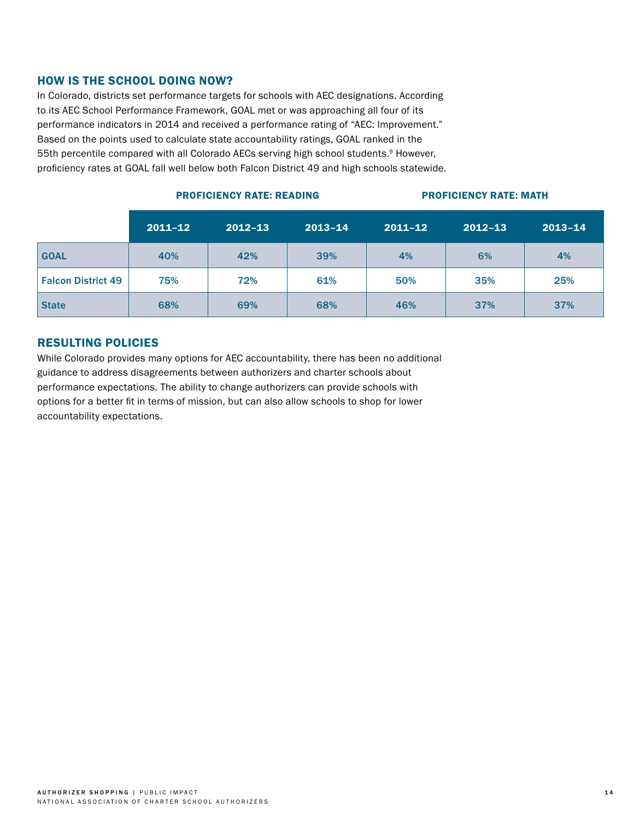## HOW IS THE SCHOOL DOING NOW?

In Colorado, districts set performance targets for schools with AEC designations. According to its AEC School Performance Framework, GOAL met or was approaching all four of its performance indicators in 2014 and received a performance rating of "AEC: Improvement." Based on the points used to calculate state accountability ratings, GOAL ranked in the 55th percentile compared with all Colorado AECs serving high school students.<sup>9</sup> However, proficiency rates at GOAL fall well below both Falcon District 49 and high schools statewide.

|                           | $2011 - 12$ | $2012 - 13$ | $2013 - 14$ | $2011 - 12$ | $2012 - 13$ | $2013 - 14$ |
|---------------------------|-------------|-------------|-------------|-------------|-------------|-------------|
| <b>GOAL</b>               | 40%         | 42%         | 39%         | 4%          | 6%          | 4%          |
| <b>Falcon District 49</b> | 75%         | 72%         | 61%         | 50%         | 35%         | 25%         |
| <b>State</b>              | 68%         | 69%         | 68%         | 46%         | 37%         | 37%         |

# PROFICIENCY RATE: READING PROFICIENCY RATE: MATH

# RESULTING POLICIES

While Colorado provides many options for AEC accountability, there has been no additional guidance to address disagreements between authorizers and charter schools about performance expectations. The ability to change authorizers can provide schools with options for a better fit in terms of mission, but can also allow schools to shop for lower accountability expectations.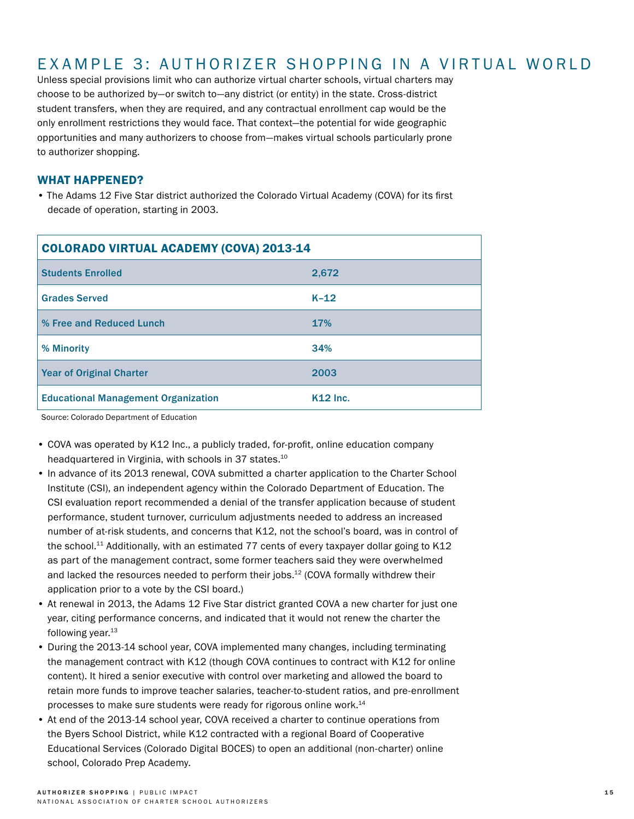# EXAMPLE 3: AUTHORIZER SHOPPING IN A VIRTUAL WORLD

Unless special provisions limit who can authorize virtual charter schools, virtual charters may choose to be authorized by—or switch to—any district (or entity) in the state. Cross-district student transfers, when they are required, and any contractual enrollment cap would be the only enrollment restrictions they would face. That context—the potential for wide geographic opportunities and many authorizers to choose from—makes virtual schools particularly prone to authorizer shopping.

### WHAT HAPPENED?

• The Adams 12 Five Star district authorized the Colorado Virtual Academy (COVA) for its first decade of operation, starting in 2003.

| <b>COLORADO VIRTUAL ACADEMY (COVA) 2013-14</b> |                 |  |  |  |
|------------------------------------------------|-----------------|--|--|--|
| <b>Students Enrolled</b>                       | 2,672           |  |  |  |
| <b>Grades Served</b>                           | $K-12$          |  |  |  |
| % Free and Reduced Lunch                       | <b>17%</b>      |  |  |  |
| % Minority                                     | 34%             |  |  |  |
| Year of Original Charter                       | 2003            |  |  |  |
| <b>Educational Management Organization</b>     | <b>K12 Inc.</b> |  |  |  |

Source: Colorado Department of Education

- COVA was operated by K12 Inc., a publicly traded, for-profit, online education company headquartered in Virginia, with schools in 37 states.<sup>10</sup>
- In advance of its 2013 renewal, COVA submitted a charter application to the Charter School Institute (CSI), an independent agency within the Colorado Department of Education. The CSI evaluation report recommended a denial of the transfer application because of student performance, student turnover, curriculum adjustments needed to address an increased number of at-risk students, and concerns that K12, not the school's board, was in control of the school.<sup>11</sup> Additionally, with an estimated 77 cents of every taxpayer dollar going to K12 as part of the management contract, some former teachers said they were overwhelmed and lacked the resources needed to perform their jobs.12 (COVA formally withdrew their application prior to a vote by the CSI board.)
- At renewal in 2013, the Adams 12 Five Star district granted COVA a new charter for just one year, citing performance concerns, and indicated that it would not renew the charter the following year. $13$
- During the 2013-14 school year, COVA implemented many changes, including terminating the management contract with K12 (though COVA continues to contract with K12 for online content). It hired a senior executive with control over marketing and allowed the board to retain more funds to improve teacher salaries, teacher-to-student ratios, and pre-enrollment processes to make sure students were ready for rigorous online work.14
- At end of the 2013-14 school year, COVA received a charter to continue operations from the Byers School District, while K12 contracted with a regional Board of Cooperative Educational Services (Colorado Digital BOCES) to open an additional (non-charter) online school, Colorado Prep Academy.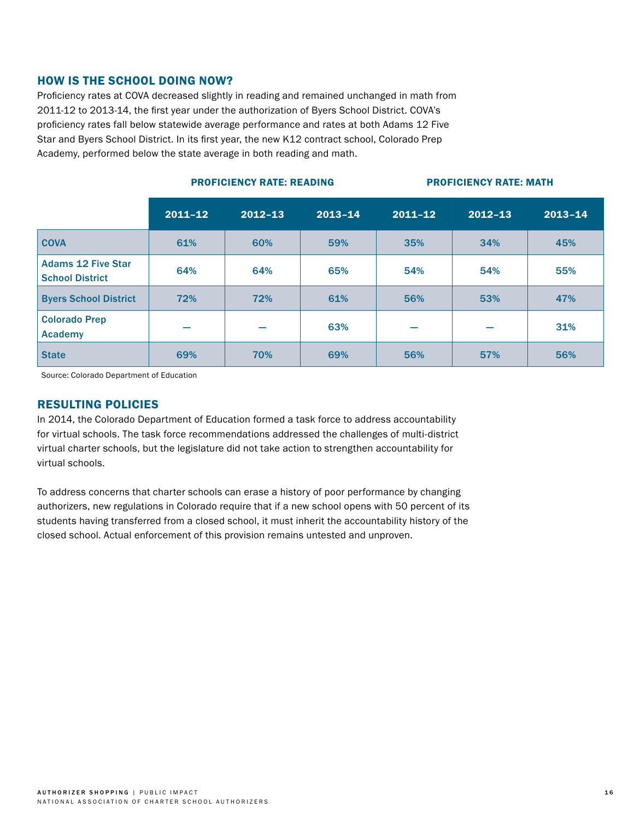## HOW IS THE SCHOOL DOING NOW?

Proficiency rates at COVA decreased slightly in reading and remained unchanged in math from 2011-12 to 2013-14, the first year under the authorization of Byers School District. COVA's proficiency rates fall below statewide average performance and rates at both Adams 12 Five Star and Byers School District. In its first year, the new K12 contract school, Colorado Prep Academy, performed below the state average in both reading and math.

#### PROFICIENCY RATE: READING PROFICIENCY RATE: MATH

|                                                     | $2011 - 12$ | $2012 - 13$ | $2013 - 14$ | $2011 - 12$ | $2012 - 13$ | $2013 - 14$ |
|-----------------------------------------------------|-------------|-------------|-------------|-------------|-------------|-------------|
| <b>COVA</b>                                         | 61%         | 60%         | 59%         | 35%         | 34%         | 45%         |
| <b>Adams 12 Five Star</b><br><b>School District</b> | 64%         | 64%         | 65%         | 54%         | 54%         | 55%         |
| <b>Byers School District</b>                        | 72%         | 72%         | 61%         | 56%         | 53%         | 47%         |
| <b>Colorado Prep</b><br><b>Academy</b>              |             |             | 63%         |             |             | 31%         |
| <b>State</b>                                        | 69%         | 70%         | 69%         | 56%         | 57%         | 56%         |

Source: Colorado Department of Education

### RESULTING POLICIES

In 2014, the Colorado Department of Education formed a task force to address accountability for virtual schools. The task force recommendations addressed the challenges of multi-district virtual charter schools, but the legislature did not take action to strengthen accountability for virtual schools.

To address concerns that charter schools can erase a history of poor performance by changing authorizers, new regulations in Colorado require that if a new school opens with 50 percent of its students having transferred from a closed school, it must inherit the accountability history of the closed school. Actual enforcement of this provision remains untested and unproven.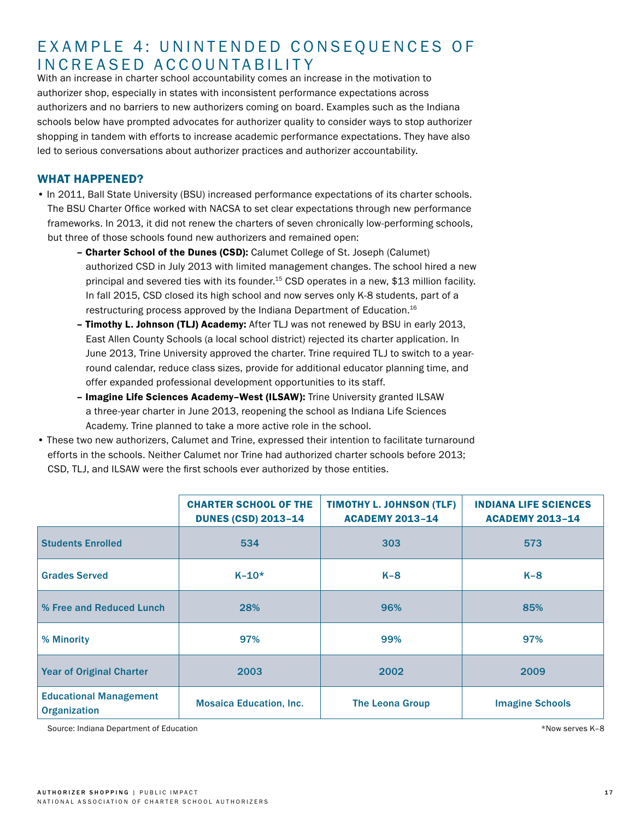# EXAMPLE 4: UNINTENDED CONSEQUENCES OF INCREASED ACCOUNTABILITY

With an increase in charter school accountability comes an increase in the motivation to authorizer shop, especially in states with inconsistent performance expectations across authorizers and no barriers to new authorizers coming on board. Examples such as the Indiana schools below have prompted advocates for authorizer quality to consider ways to stop authorizer shopping in tandem with efforts to increase academic performance expectations. They have also led to serious conversations about authorizer practices and authorizer accountability.

# WHAT HAPPENED?

- In 2011, Ball State University (BSU) increased performance expectations of its charter schools. The BSU Charter Office worked with NACSA to set clear expectations through new performance frameworks. In 2013, it did not renew the charters of seven chronically low-performing schools, but three of those schools found new authorizers and remained open:
	- Charter School of the Dunes (CSD): Calumet College of St. Joseph (Calumet) authorized CSD in July 2013 with limited management changes. The school hired a new principal and severed ties with its founder.<sup>15</sup> CSD operates in a new, \$13 million facility. In fall 2015, CSD closed its high school and now serves only K-8 students, part of a restructuring process approved by the Indiana Department of Education.16
	- Timothy L. Johnson (TLJ) Academy: After TLJ was not renewed by BSU in early 2013, East Allen County Schools (a local school district) rejected its charter application. In June 2013, Trine University approved the charter. Trine required TLJ to switch to a yearround calendar, reduce class sizes, provide for additional educator planning time, and offer expanded professional development opportunities to its staff.
	- Imagine Life Sciences Academy–West (ILSAW): Trine University granted ILSAW a three-year charter in June 2013, reopening the school as Indiana Life Sciences Academy. Trine planned to take a more active role in the school.
- These two new authorizers, Calumet and Trine, expressed their intention to facilitate turnaround efforts in the schools. Neither Calumet nor Trine had authorized charter schools before 2013; CSD, TLJ, and ILSAW were the first schools ever authorized by those entities.

|                                                      | <b>CHARTER SCHOOL OF THE</b><br><b>DUNES (CSD) 2013-14</b> | <b>TIMOTHY L. JOHNSON (TLF)</b><br><b>ACADEMY 2013-14</b> | <b>INDIANA LIFE SCIENCES</b><br><b>ACADEMY 2013-14</b> |
|------------------------------------------------------|------------------------------------------------------------|-----------------------------------------------------------|--------------------------------------------------------|
| <b>Students Enrolled</b>                             | 534                                                        | 303                                                       | 573                                                    |
| <b>Grades Served</b>                                 | $K - 10*$                                                  | $K-8$                                                     | $K-8$                                                  |
| % Free and Reduced Lunch                             | 28%                                                        | 96%                                                       | 85%                                                    |
| % Minority                                           | 97%                                                        | 99%                                                       | 97%                                                    |
| <b>Year of Original Charter</b>                      | 2003                                                       | 2002                                                      | 2009                                                   |
| <b>Educational Management</b><br><b>Organization</b> | <b>Mosaica Education, Inc.</b>                             | <b>The Leona Group</b>                                    | <b>Imagine Schools</b>                                 |

Source: Indiana Department of Education **by the Contract Contract Contract Contract Contract Contract Contract Contract Contract Contract Contract Contract Contract Contract Contract Contract Contract Contract Contract Con**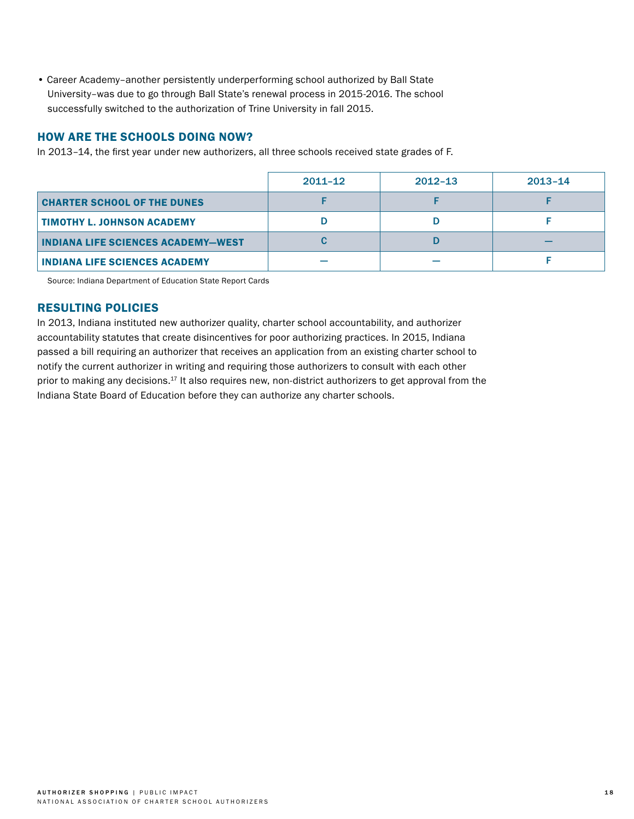• Career Academy–another persistently underperforming school authorized by Ball State University–was due to go through Ball State's renewal process in 2015-2016. The school successfully switched to the authorization of Trine University in fall 2015.

## HOW ARE THE SCHOOLS DOING NOW?

In 2013–14, the first year under new authorizers, all three schools received state grades of F.

|                                           | 2011-12 | $2012 - 13$ | $2013 - 14$ |
|-------------------------------------------|---------|-------------|-------------|
| <b>CHARTER SCHOOL OF THE DUNES</b>        |         |             |             |
| TIMOTHY L. JOHNSON ACADEMY                |         |             |             |
| <b>INDIANA LIFE SCIENCES ACADEMY-WEST</b> |         |             |             |
| <b>INDIANA LIFE SCIENCES ACADEMY</b>      |         |             |             |

Source: Indiana Department of Education State Report Cards

## RESULTING POLICIES

In 2013, Indiana instituted new authorizer quality, charter school accountability, and authorizer accountability statutes that create disincentives for poor authorizing practices. In 2015, Indiana passed a bill requiring an authorizer that receives an application from an existing charter school to notify the current authorizer in writing and requiring those authorizers to consult with each other prior to making any decisions.<sup>17</sup> It also requires new, non-district authorizers to get approval from the Indiana State Board of Education before they can authorize any charter schools.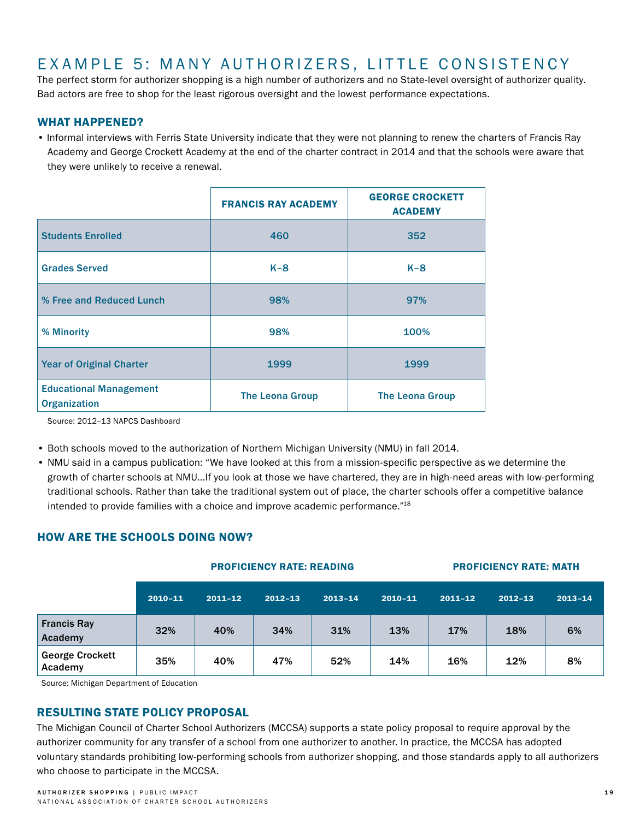# EXAMPLE 5: MANY AUTHORIZERS, LITTLE CONSISTENCY

The perfect storm for authorizer shopping is a high number of authorizers and no State-level oversight of authorizer quality. Bad actors are free to shop for the least rigorous oversight and the lowest performance expectations.

## WHAT HAPPENED?

• Informal interviews with Ferris State University indicate that they were not planning to renew the charters of Francis Ray Academy and George Crockett Academy at the end of the charter contract in 2014 and that the schools were aware that they were unlikely to receive a renewal.

|                                                      | <b>FRANCIS RAY ACADEMY</b> | <b>GEORGE CROCKETT</b><br><b>ACADEMY</b> |
|------------------------------------------------------|----------------------------|------------------------------------------|
| <b>Students Enrolled</b>                             | 460                        | 352                                      |
| <b>Grades Served</b>                                 | $K-8$                      | $K-8$                                    |
| % Free and Reduced Lunch                             | 98%                        | 97%                                      |
| % Minority                                           | 98%                        | 100%                                     |
| <b>Year of Original Charter</b>                      | 1999                       | 1999                                     |
| <b>Educational Management</b><br><b>Organization</b> | <b>The Leona Group</b>     | <b>The Leona Group</b>                   |

Source: 2012–13 NAPCS Dashboard

- Both schools moved to the authorization of Northern Michigan University (NMU) in fall 2014.
- NMU said in a campus publication: "We have looked at this from a mission-specific perspective as we determine the growth of charter schools at NMU…If you look at those we have chartered, they are in high-need areas with low-performing traditional schools. Rather than take the traditional system out of place, the charter schools offer a competitive balance intended to provide families with a choice and improve academic performance."18

## HOW ARE THE SCHOOLS DOING NOW?

|                                   | <b>PROFICIENCY RATE: READING</b> |             |             |             | <b>PROFICIENCY RATE: MATH</b> |             |             |             |
|-----------------------------------|----------------------------------|-------------|-------------|-------------|-------------------------------|-------------|-------------|-------------|
|                                   | $2010 - 11$                      | $2011 - 12$ | $2012 - 13$ | $2013 - 14$ | $2010 - 11$                   | $2011 - 12$ | $2012 - 13$ | $2013 - 14$ |
| <b>Francis Ray</b><br>Academy     | 32%                              | 40%         | 34%         | 31%         | 13%                           | 17%         | 18%         | 6%          |
| <b>George Crockett</b><br>Academy | 35%                              | 40%         | 47%         | 52%         | 14%                           | 16%         | 12%         | 8%          |

Source: Michigan Department of Education

### RESULTING STATE POLICY PROPOSAL

The Michigan Council of Charter School Authorizers (MCCSA) supports a state policy proposal to require approval by the authorizer community for any transfer of a school from one authorizer to another. In practice, the MCCSA has adopted voluntary standards prohibiting low-performing schools from authorizer shopping, and those standards apply to all authorizers who choose to participate in the MCCSA.